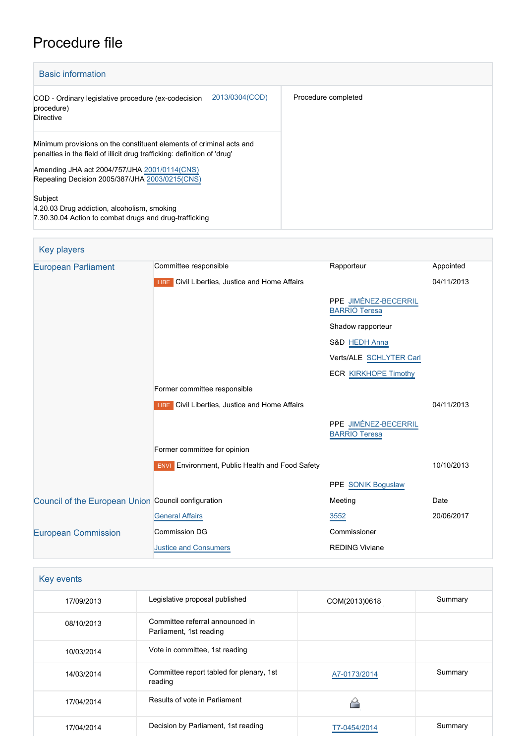# Procedure file

| <b>Basic information</b>                                                                                                                        |                     |
|-------------------------------------------------------------------------------------------------------------------------------------------------|---------------------|
| 2013/0304(COD)<br>COD - Ordinary legislative procedure (ex-codecision<br>procedure)<br><b>Directive</b>                                         | Procedure completed |
| Minimum provisions on the constituent elements of criminal acts and<br>penalties in the field of illicit drug trafficking: definition of 'drug' |                     |
| Amending JHA act 2004/757/JHA 2001/0114(CNS)<br>Repealing Decision 2005/387/JHA 2003/0215(CNS)                                                  |                     |
| Subject<br>4.20.03 Drug addiction, alcoholism, smoking<br>7.30.30.04 Action to combat drugs and drug-trafficking                                |                     |

| Key players                                         |                                                        |                                              |            |
|-----------------------------------------------------|--------------------------------------------------------|----------------------------------------------|------------|
| <b>European Parliament</b>                          | Committee responsible                                  | Rapporteur                                   | Appointed  |
|                                                     | LIBE Civil Liberties, Justice and Home Affairs         |                                              | 04/11/2013 |
|                                                     |                                                        | PPE JIMÉNEZ-BECERRIL<br><b>BARRIO Teresa</b> |            |
|                                                     |                                                        | Shadow rapporteur                            |            |
|                                                     |                                                        | S&D HEDH Anna                                |            |
|                                                     |                                                        | Verts/ALE SCHLYTER Carl                      |            |
|                                                     |                                                        | <b>ECR KIRKHOPE Timothy</b>                  |            |
|                                                     | Former committee responsible                           |                                              |            |
|                                                     | <b>LIBE</b> Civil Liberties, Justice and Home Affairs  |                                              | 04/11/2013 |
|                                                     |                                                        | PPE JIMÉNEZ-BECERRIL<br><b>BARRIO Teresa</b> |            |
|                                                     | Former committee for opinion                           |                                              |            |
|                                                     | <b>ENVI</b> Environment, Public Health and Food Safety |                                              | 10/10/2013 |
|                                                     |                                                        | PPE SONIK Bogusław                           |            |
| Council of the European Union Council configuration |                                                        | Meeting                                      | Date       |
|                                                     | <b>General Affairs</b>                                 | 3552                                         | 20/06/2017 |
| <b>European Commission</b>                          | <b>Commission DG</b>                                   | Commissioner                                 |            |
|                                                     | <b>Justice and Consumers</b>                           | <b>REDING Viviane</b>                        |            |
|                                                     |                                                        |                                              |            |

| Key events |                                                            |               |         |
|------------|------------------------------------------------------------|---------------|---------|
| 17/09/2013 | Legislative proposal published                             | COM(2013)0618 | Summary |
| 08/10/2013 | Committee referral announced in<br>Parliament, 1st reading |               |         |
| 10/03/2014 | Vote in committee, 1st reading                             |               |         |
| 14/03/2014 | Committee report tabled for plenary, 1st<br>reading        | A7-0173/2014  | Summary |
| 17/04/2014 | Results of vote in Parliament                              |               |         |
| 17/04/2014 | Decision by Parliament, 1st reading                        | T7-0454/2014  | Summary |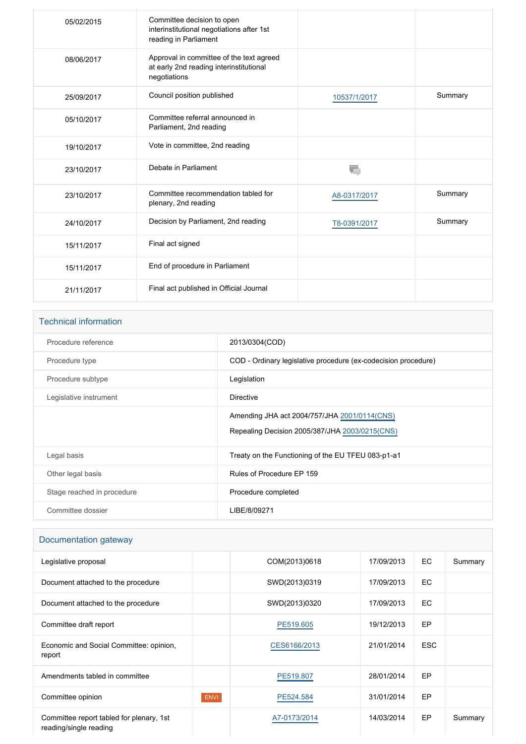| 05/02/2015 | Committee decision to open<br>interinstitutional negotiations after 1st<br>reading in Parliament    |              |         |
|------------|-----------------------------------------------------------------------------------------------------|--------------|---------|
| 08/06/2017 | Approval in committee of the text agreed<br>at early 2nd reading interinstitutional<br>negotiations |              |         |
| 25/09/2017 | Council position published                                                                          | 10537/1/2017 | Summary |
| 05/10/2017 | Committee referral announced in<br>Parliament, 2nd reading                                          |              |         |
| 19/10/2017 | Vote in committee, 2nd reading                                                                      |              |         |
| 23/10/2017 | Debate in Parliament                                                                                | 珊            |         |
| 23/10/2017 | Committee recommendation tabled for<br>plenary, 2nd reading                                         | A8-0317/2017 | Summary |
| 24/10/2017 | Decision by Parliament, 2nd reading                                                                 | T8-0391/2017 | Summary |
| 15/11/2017 | Final act signed                                                                                    |              |         |
| 15/11/2017 | End of procedure in Parliament                                                                      |              |         |
| 21/11/2017 | Final act published in Official Journal                                                             |              |         |

#### Technical information

| Procedure reference        | 2013/0304(COD)                                                                                 |
|----------------------------|------------------------------------------------------------------------------------------------|
| Procedure type             | COD - Ordinary legislative procedure (ex-codecision procedure)                                 |
| Procedure subtype          | Legislation                                                                                    |
| Legislative instrument     | <b>Directive</b>                                                                               |
|                            | Amending JHA act 2004/757/JHA 2001/0114(CNS)<br>Repealing Decision 2005/387/JHA 2003/0215(CNS) |
| Legal basis                | Treaty on the Functioning of the EU TFEU 083-p1-a1                                             |
| Other legal basis          | Rules of Procedure EP 159                                                                      |
| Stage reached in procedure | Procedure completed                                                                            |
| Committee dossier          | LIBE/8/09271                                                                                   |
|                            |                                                                                                |

#### Documentation gateway

| Legislative proposal                                               |             | COM(2013)0618 | 17/09/2013 | EC.        | Summary |
|--------------------------------------------------------------------|-------------|---------------|------------|------------|---------|
| Document attached to the procedure                                 |             | SWD(2013)0319 | 17/09/2013 | EC         |         |
| Document attached to the procedure                                 |             | SWD(2013)0320 | 17/09/2013 | EC.        |         |
| Committee draft report                                             |             | PE519.605     | 19/12/2013 | EP         |         |
| Economic and Social Committee: opinion,<br>report                  |             | CES6166/2013  | 21/01/2014 | <b>ESC</b> |         |
| Amendments tabled in committee                                     |             | PE519.807     | 28/01/2014 | EP         |         |
| Committee opinion                                                  | <b>ENVI</b> | PE524.584     | 31/01/2014 | EP         |         |
| Committee report tabled for plenary, 1st<br>reading/single reading |             | A7-0173/2014  | 14/03/2014 | EP         | Summary |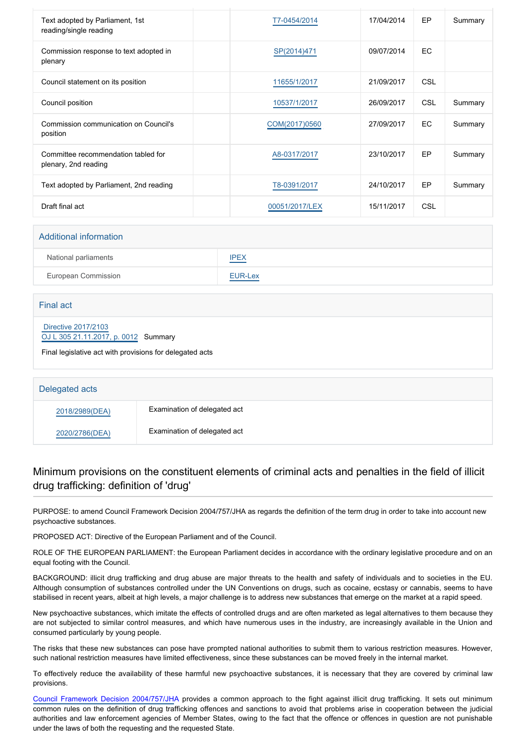| Text adopted by Parliament, 1st<br>reading/single reading   | T7-0454/2014   | 17/04/2014 | EP         | Summary |
|-------------------------------------------------------------|----------------|------------|------------|---------|
| Commission response to text adopted in<br>plenary           | SP(2014)471    | 09/07/2014 | <b>EC</b>  |         |
| Council statement on its position                           | 11655/1/2017   | 21/09/2017 | CSL        |         |
| Council position                                            | 10537/1/2017   | 26/09/2017 | <b>CSL</b> | Summary |
| Commission communication on Council's<br>position           | COM(2017)0560  | 27/09/2017 | <b>EC</b>  | Summary |
| Committee recommendation tabled for<br>plenary, 2nd reading | A8-0317/2017   | 23/10/2017 | EP         | Summary |
| Text adopted by Parliament, 2nd reading                     | T8-0391/2017   | 24/10/2017 | EP         | Summary |
| Draft final act                                             | 00051/2017/LEX | 15/11/2017 | <b>CSL</b> |         |

#### Additional information

| National parliaments | IPEX                                             |
|----------------------|--------------------------------------------------|
| European Commission  | EUR-Lex<br>and the control of the control of the |

## Final act  [Directive 2017/2103](https://eur-lex.europa.eu/smartapi/cgi/sga_doc?smartapi!celexplus!prod!CELEXnumdoc&lg=EN&numdoc=32017L2103) [OJ L 305 21.11.2017, p. 0012](https://eur-lex.europa.eu/legal-content/EN/TXT/?uri=OJ:L:2017:305:TOC) Summary Final legislative act with provisions for delegated acts

| Delegated acts |                              |
|----------------|------------------------------|
| 2018/2989(DEA) | Examination of delegated act |
| 2020/2786(DEA) | Examination of delegated act |

### Minimum provisions on the constituent elements of criminal acts and penalties in the field of illicit drug trafficking: definition of 'drug'

PURPOSE: to amend Council Framework Decision 2004/757/JHA as regards the definition of the term drug in order to take into account new psychoactive substances.

PROPOSED ACT: Directive of the European Parliament and of the Council.

ROLE OF THE EUROPEAN PARLIAMENT: the European Parliament decides in accordance with the ordinary legislative procedure and on an equal footing with the Council.

BACKGROUND: illicit drug trafficking and drug abuse are major threats to the health and safety of individuals and to societies in the EU. Although consumption of substances controlled under the UN Conventions on drugs, such as cocaine, ecstasy or cannabis, seems to have stabilised in recent years, albeit at high levels, a major challenge is to address new substances that emerge on the market at a rapid speed.

New psychoactive substances, which imitate the effects of controlled drugs and are often marketed as legal alternatives to them because they are not subjected to similar control measures, and which have numerous uses in the industry, are increasingly available in the Union and consumed particularly by young people.

The risks that these new substances can pose have prompted national authorities to submit them to various restriction measures. However, such national restriction measures have limited effectiveness, since these substances can be moved freely in the internal market.

To effectively reduce the availability of these harmful new psychoactive substances, it is necessary that they are covered by criminal law provisions.

[Council Framework Decision 2004/757/JH](http://www.europarl.europa.eu/oeil/popups/ficheprocedure.do?lang=EN&reference=2001/0114(CNS))A provides a common approach to the fight against illicit drug trafficking. It sets out minimum common rules on the definition of drug trafficking offences and sanctions to avoid that problems arise in cooperation between the judicial authorities and law enforcement agencies of Member States, owing to the fact that the offence or offences in question are not punishable under the laws of both the requesting and the requested State.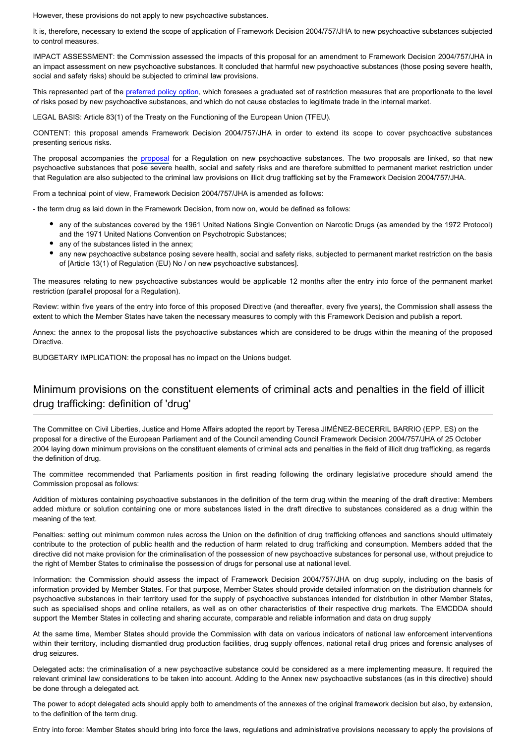However, these provisions do not apply to new psychoactive substances.

It is, therefore, necessary to extend the scope of application of Framework Decision 2004/757/JHA to new psychoactive substances subjected to control measures.

IMPACT ASSESSMENT: the Commission assessed the impacts of this proposal for an amendment to Framework Decision 2004/757/JHA in an impact assessment on new psychoactive substances. It concluded that harmful new psychoactive substances (those posing severe health, social and safety risks) should be subjected to criminal law provisions.

This represented part of the [preferred policy option](http://eur-lex.europa.eu/LexUriServ/LexUriServ.do?uri=SWD:2013:0320:FIN:EN:PDF), which foresees a graduated set of restriction measures that are proportionate to the level of risks posed by new psychoactive substances, and which do not cause obstacles to legitimate trade in the internal market.

LEGAL BASIS: Article 83(1) of the Treaty on the Functioning of the European Union (TFEU).

CONTENT: this proposal amends Framework Decision 2004/757/JHA in order to extend its scope to cover psychoactive substances presenting serious risks.

The proposal accompanies the [proposal](http://www.europarl.europa.eu/oeil/popups/ficheprocedure.do?lang=EN&reference=2013/0305(COD)) for a Regulation on new psychoactive substances. The two proposals are linked, so that new psychoactive substances that pose severe health, social and safety risks and are therefore submitted to permanent market restriction under that Regulation are also subjected to the criminal law provisions on illicit drug trafficking set by the Framework Decision 2004/757/JHA.

From a technical point of view, Framework Decision 2004/757/JHA is amended as follows:

- the term drug as laid down in the Framework Decision, from now on, would be defined as follows:

- any of the substances covered by the 1961 United Nations Single Convention on Narcotic Drugs (as amended by the 1972 Protocol) and the 1971 United Nations Convention on Psychotropic Substances;
- any of the substances listed in the annex;
- any new psychoactive substance posing severe health, social and safety risks, subjected to permanent market restriction on the basis of [Article 13(1) of Regulation (EU) No / on new psychoactive substances].

The measures relating to new psychoactive substances would be applicable 12 months after the entry into force of the permanent market restriction (parallel proposal for a Regulation).

Review: within five years of the entry into force of this proposed Directive (and thereafter, every five years), the Commission shall assess the extent to which the Member States have taken the necessary measures to comply with this Framework Decision and publish a report.

Annex: the annex to the proposal lists the psychoactive substances which are considered to be drugs within the meaning of the proposed Directive.

BUDGETARY IMPLICATION: the proposal has no impact on the Unions budget.

#### Minimum provisions on the constituent elements of criminal acts and penalties in the field of illicit drug trafficking: definition of 'drug'

The Committee on Civil Liberties, Justice and Home Affairs adopted the report by Teresa JIMÉNEZ-BECERRIL BARRIO (EPP, ES) on the proposal for a directive of the European Parliament and of the Council amending Council Framework Decision 2004/757/JHA of 25 October 2004 laying down minimum provisions on the constituent elements of criminal acts and penalties in the field of illicit drug trafficking, as regards the definition of drug.

The committee recommended that Parliaments position in first reading following the ordinary legislative procedure should amend the Commission proposal as follows:

Addition of mixtures containing psychoactive substances in the definition of the term drug within the meaning of the draft directive: Members added mixture or solution containing one or more substances listed in the draft directive to substances considered as a drug within the meaning of the text.

Penalties: setting out minimum common rules across the Union on the definition of drug trafficking offences and sanctions should ultimately contribute to the protection of public health and the reduction of harm related to drug trafficking and consumption. Members added that the directive did not make provision for the criminalisation of the possession of new psychoactive substances for personal use, without prejudice to the right of Member States to criminalise the possession of drugs for personal use at national level.

Information: the Commission should assess the impact of Framework Decision 2004/757/JHA on drug supply, including on the basis of information provided by Member States. For that purpose, Member States should provide detailed information on the distribution channels for psychoactive substances in their territory used for the supply of psychoactive substances intended for distribution in other Member States, such as specialised shops and online retailers, as well as on other characteristics of their respective drug markets. The EMCDDA should support the Member States in collecting and sharing accurate, comparable and reliable information and data on drug supply

At the same time, Member States should provide the Commission with data on various indicators of national law enforcement interventions within their territory, including dismantled drug production facilities, drug supply offences, national retail drug prices and forensic analyses of drug seizures.

Delegated acts: the criminalisation of a new psychoactive substance could be considered as a mere implementing measure. It required the relevant criminal law considerations to be taken into account. Adding to the Annex new psychoactive substances (as in this directive) should be done through a delegated act.

The power to adopt delegated acts should apply both to amendments of the annexes of the original framework decision but also, by extension, to the definition of the term drug.

Entry into force: Member States should bring into force the laws, regulations and administrative provisions necessary to apply the provisions of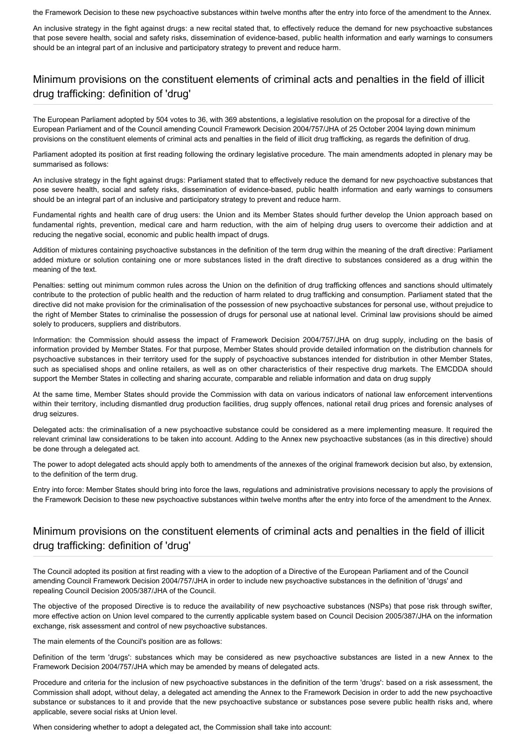the Framework Decision to these new psychoactive substances within twelve months after the entry into force of the amendment to the Annex.

An inclusive strategy in the fight against drugs: a new recital stated that, to effectively reduce the demand for new psychoactive substances that pose severe health, social and safety risks, dissemination of evidence-based, public health information and early warnings to consumers should be an integral part of an inclusive and participatory strategy to prevent and reduce harm.

### Minimum provisions on the constituent elements of criminal acts and penalties in the field of illicit drug trafficking: definition of 'drug'

The European Parliament adopted by 504 votes to 36, with 369 abstentions, a legislative resolution on the proposal for a directive of the European Parliament and of the Council amending Council Framework Decision 2004/757/JHA of 25 October 2004 laying down minimum provisions on the constituent elements of criminal acts and penalties in the field of illicit drug trafficking, as regards the definition of drug.

Parliament adopted its position at first reading following the ordinary legislative procedure. The main amendments adopted in plenary may be summarised as follows:

An inclusive strategy in the fight against drugs: Parliament stated that to effectively reduce the demand for new psychoactive substances that pose severe health, social and safety risks, dissemination of evidence-based, public health information and early warnings to consumers should be an integral part of an inclusive and participatory strategy to prevent and reduce harm.

Fundamental rights and health care of drug users: the Union and its Member States should further develop the Union approach based on fundamental rights, prevention, medical care and harm reduction, with the aim of helping drug users to overcome their addiction and at reducing the negative social, economic and public health impact of drugs.

Addition of mixtures containing psychoactive substances in the definition of the term drug within the meaning of the draft directive: Parliament added mixture or solution containing one or more substances listed in the draft directive to substances considered as a drug within the meaning of the text.

Penalties: setting out minimum common rules across the Union on the definition of drug trafficking offences and sanctions should ultimately contribute to the protection of public health and the reduction of harm related to drug trafficking and consumption. Parliament stated that the directive did not make provision for the criminalisation of the possession of new psychoactive substances for personal use, without prejudice to the right of Member States to criminalise the possession of drugs for personal use at national level. Criminal law provisions should be aimed solely to producers, suppliers and distributors.

Information: the Commission should assess the impact of Framework Decision 2004/757/JHA on drug supply, including on the basis of information provided by Member States. For that purpose, Member States should provide detailed information on the distribution channels for psychoactive substances in their territory used for the supply of psychoactive substances intended for distribution in other Member States, such as specialised shops and online retailers, as well as on other characteristics of their respective drug markets. The EMCDDA should support the Member States in collecting and sharing accurate, comparable and reliable information and data on drug supply

At the same time, Member States should provide the Commission with data on various indicators of national law enforcement interventions within their territory, including dismantled drug production facilities, drug supply offences, national retail drug prices and forensic analyses of drug seizures.

Delegated acts: the criminalisation of a new psychoactive substance could be considered as a mere implementing measure. It required the relevant criminal law considerations to be taken into account. Adding to the Annex new psychoactive substances (as in this directive) should be done through a delegated act.

The power to adopt delegated acts should apply both to amendments of the annexes of the original framework decision but also, by extension, to the definition of the term drug.

Entry into force: Member States should bring into force the laws, regulations and administrative provisions necessary to apply the provisions of the Framework Decision to these new psychoactive substances within twelve months after the entry into force of the amendment to the Annex.

#### Minimum provisions on the constituent elements of criminal acts and penalties in the field of illicit drug trafficking: definition of 'drug'

The Council adopted its position at first reading with a view to the adoption of a Directive of the European Parliament and of the Council amending Council Framework Decision 2004/757/JHA in order to include new psychoactive substances in the definition of 'drugs' and repealing Council Decision 2005/387/JHA of the Council.

The objective of the proposed Directive is to reduce the availability of new psychoactive substances (NSPs) that pose risk through swifter, more effective action on Union level compared to the currently applicable system based on Council Decision 2005/387/JHA on the information exchange, risk assessment and control of new psychoactive substances.

The main elements of the Council's position are as follows:

Definition of the term 'drugs': substances which may be considered as new psychoactive substances are listed in a new Annex to the Framework Decision 2004/757/JHA which may be amended by means of delegated acts.

Procedure and criteria for the inclusion of new psychoactive substances in the definition of the term 'drugs': based on a risk assessment, the Commission shall adopt, without delay, a delegated act amending the Annex to the Framework Decision in order to add the new psychoactive substance or substances to it and provide that the new psychoactive substance or substances pose severe public health risks and, where applicable, severe social risks at Union level.

When considering whether to adopt a delegated act, the Commission shall take into account: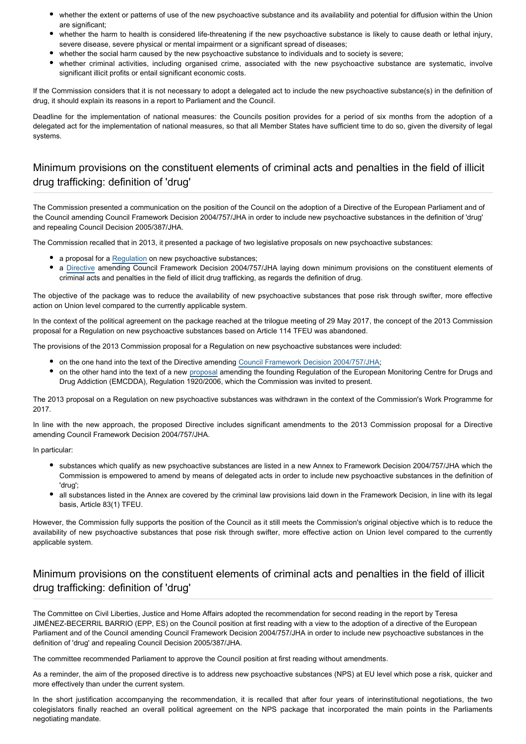- whether the extent or patterns of use of the new psychoactive substance and its availability and potential for diffusion within the Union are significant;
- whether the harm to health is considered life-threatening if the new psychoactive substance is likely to cause death or lethal injury, severe disease, severe physical or mental impairment or a significant spread of diseases;
- whether the social harm caused by the new psychoactive substance to individuals and to society is severe;
- whether criminal activities, including organised crime, associated with the new psychoactive substance are systematic, involve significant illicit profits or entail significant economic costs.

If the Commission considers that it is not necessary to adopt a delegated act to include the new psychoactive substance(s) in the definition of drug, it should explain its reasons in a report to Parliament and the Council.

Deadline for the implementation of national measures: the Councils position provides for a period of six months from the adoption of a delegated act for the implementation of national measures, so that all Member States have sufficient time to do so, given the diversity of legal systems.

#### Minimum provisions on the constituent elements of criminal acts and penalties in the field of illicit drug trafficking: definition of 'drug'

The Commission presented a communication on the position of the Council on the adoption of a Directive of the European Parliament and of the Council amending Council Framework Decision 2004/757/JHA in order to include new psychoactive substances in the definition of 'drug' and repealing Council Decision 2005/387/JHA.

The Commission recalled that in 2013, it presented a package of two legislative proposals on new psychoactive substances:

- a proposal for a [Regulation](http://www.europarl.europa.eu/oeil/popups/ficheprocedure.do?lang=en&reference=2013/0305(COD)) on new psychoactive substances;
- a [Directive](http://www.europarl.europa.eu/oeil/popups/ficheprocedure.do?reference=2013/0304(COD)&l=en) amending Council Framework Decision 2004/757/JHA laying down minimum provisions on the constituent elements of criminal acts and penalties in the field of illicit drug trafficking, as regards the definition of drug.

The objective of the package was to reduce the availability of new psychoactive substances that pose risk through swifter, more effective action on Union level compared to the currently applicable system.

In the context of the political agreement on the package reached at the trilogue meeting of 29 May 2017, the concept of the 2013 Commission proposal for a Regulation on new psychoactive substances based on Article 114 TFEU was abandoned.

The provisions of the 2013 Commission proposal for a Regulation on new psychoactive substances were included:

- on the one hand into the text of the Directive amending [Council Framework Decision 2004/757/JHA;](http://eur-lex.europa.eu/legal-content/EN/TXT/PDF/?uri=CELEX:32004F0757&from=en)
- on the other hand into the text of a new [proposal](http://www.europarl.europa.eu/oeil/popups/ficheprocedure.do?lang=en&reference=2016/0261(COD)) amending the founding Regulation of the European Monitoring Centre for Drugs and Drug Addiction (EMCDDA), Regulation 1920/2006, which the Commission was invited to present.

The 2013 proposal on a Regulation on new psychoactive substances was withdrawn in the context of the Commission's Work Programme for 2017.

In line with the new approach, the proposed Directive includes significant amendments to the 2013 Commission proposal for a Directive amending Council Framework Decision 2004/757/JHA.

In particular:

- substances which qualify as new psychoactive substances are listed in a new Annex to Framework Decision 2004/757/JHA which the Commission is empowered to amend by means of delegated acts in order to include new psychoactive substances in the definition of 'drug';
- all substances listed in the Annex are covered by the criminal law provisions laid down in the Framework Decision, in line with its legal basis, Article 83(1) TFEU.

However, the Commission fully supports the position of the Council as it still meets the Commission's original objective which is to reduce the availability of new psychoactive substances that pose risk through swifter, more effective action on Union level compared to the currently applicable system.

#### Minimum provisions on the constituent elements of criminal acts and penalties in the field of illicit drug trafficking: definition of 'drug'

The Committee on Civil Liberties, Justice and Home Affairs adopted the recommendation for second reading in the report by Teresa JIMÉNEZ-BECERRIL BARRIO (EPP, ES) on the Council position at first reading with a view to the adoption of a directive of the European Parliament and of the Council amending Council Framework Decision 2004/757/JHA in order to include new psychoactive substances in the definition of 'drug' and repealing Council Decision 2005/387/JHA.

The committee recommended Parliament to approve the Council position at first reading without amendments.

As a reminder, the aim of the proposed directive is to address new psychoactive substances (NPS) at EU level which pose a risk, quicker and more effectively than under the current system.

In the short justification accompanying the recommendation, it is recalled that after four years of interinstitutional negotiations, the two colegislators finally reached an overall political agreement on the NPS package that incorporated the main points in the Parliaments negotiating mandate.